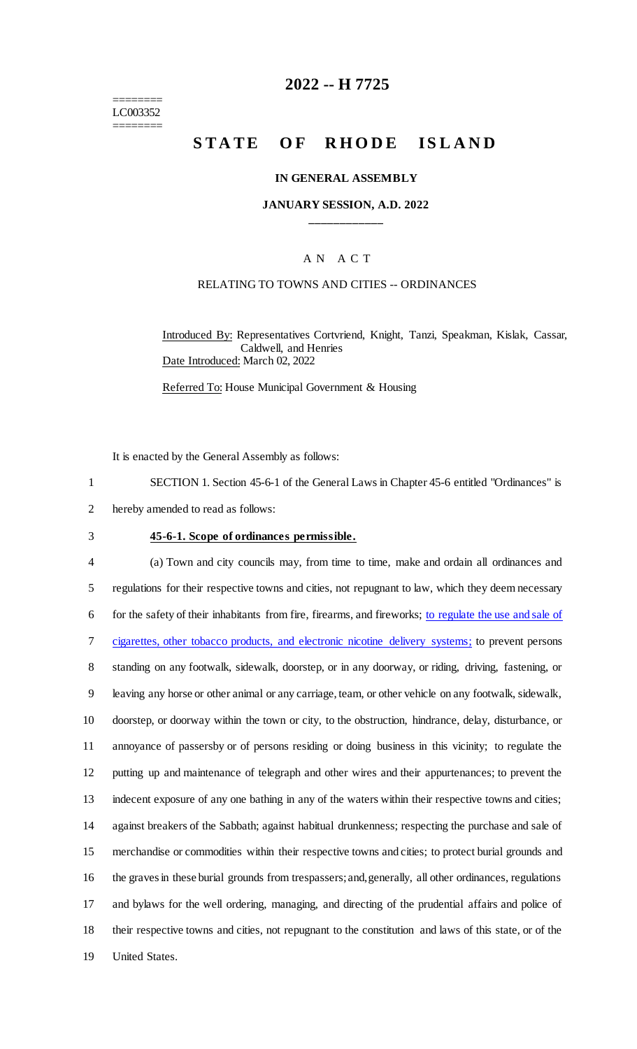======== LC003352 ========

# **2022 -- H 7725**

# **STATE OF RHODE ISLAND**

#### **IN GENERAL ASSEMBLY**

### **JANUARY SESSION, A.D. 2022 \_\_\_\_\_\_\_\_\_\_\_\_**

### A N A C T

### RELATING TO TOWNS AND CITIES -- ORDINANCES

Introduced By: Representatives Cortvriend, Knight, Tanzi, Speakman, Kislak, Cassar, Caldwell, and Henries Date Introduced: March 02, 2022

Referred To: House Municipal Government & Housing

It is enacted by the General Assembly as follows:

1 SECTION 1. Section 45-6-1 of the General Laws in Chapter 45-6 entitled "Ordinances" is

2 hereby amended to read as follows:

#### 3 **45-6-1. Scope of ordinances permissible.**

 (a) Town and city councils may, from time to time, make and ordain all ordinances and regulations for their respective towns and cities, not repugnant to law, which they deem necessary for the safety of their inhabitants from fire, firearms, and fireworks; to regulate the use and sale of cigarettes, other tobacco products, and electronic nicotine delivery systems; to prevent persons standing on any footwalk, sidewalk, doorstep, or in any doorway, or riding, driving, fastening, or leaving any horse or other animal or any carriage, team, or other vehicle on any footwalk, sidewalk, doorstep, or doorway within the town or city, to the obstruction, hindrance, delay, disturbance, or annoyance of passersby or of persons residing or doing business in this vicinity; to regulate the putting up and maintenance of telegraph and other wires and their appurtenances; to prevent the indecent exposure of any one bathing in any of the waters within their respective towns and cities; against breakers of the Sabbath; against habitual drunkenness; respecting the purchase and sale of merchandise or commodities within their respective towns and cities; to protect burial grounds and the graves in these burial grounds from trespassers; and, generally, all other ordinances, regulations and bylaws for the well ordering, managing, and directing of the prudential affairs and police of their respective towns and cities, not repugnant to the constitution and laws of this state, or of the United States.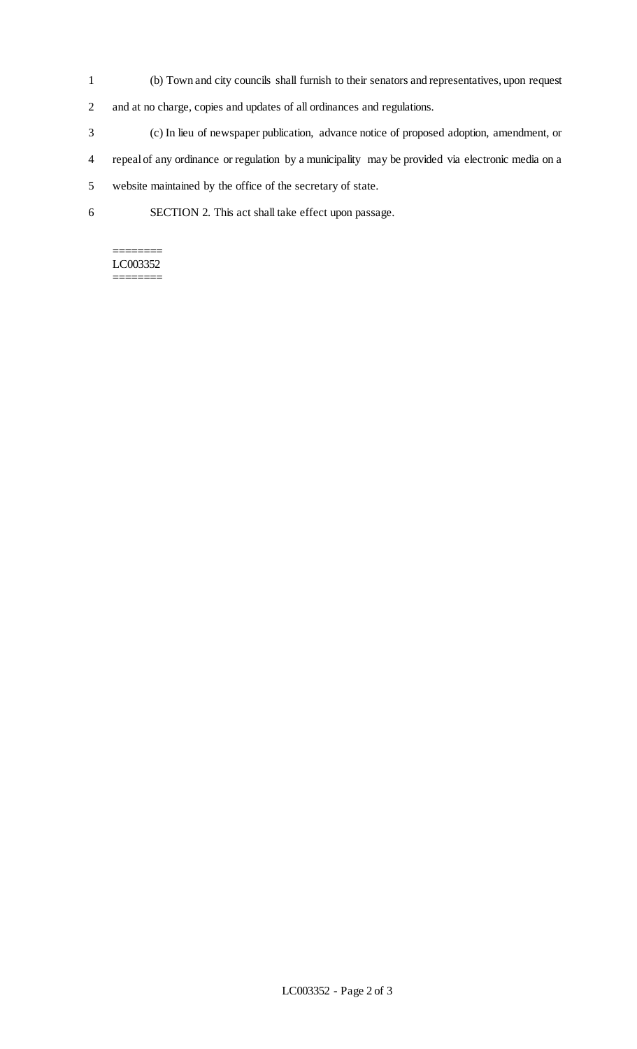- 1 (b) Town and city councils shall furnish to their senators and representatives, upon request
- 2 and at no charge, copies and updates of all ordinances and regulations.
- 3 (c) In lieu of newspaper publication, advance notice of proposed adoption, amendment, or
- 4 repeal of any ordinance or regulation by a municipality may be provided via electronic media on a
- 5 website maintained by the office of the secretary of state.
- 6 SECTION 2. This act shall take effect upon passage.

#### ======== LC003352 ========